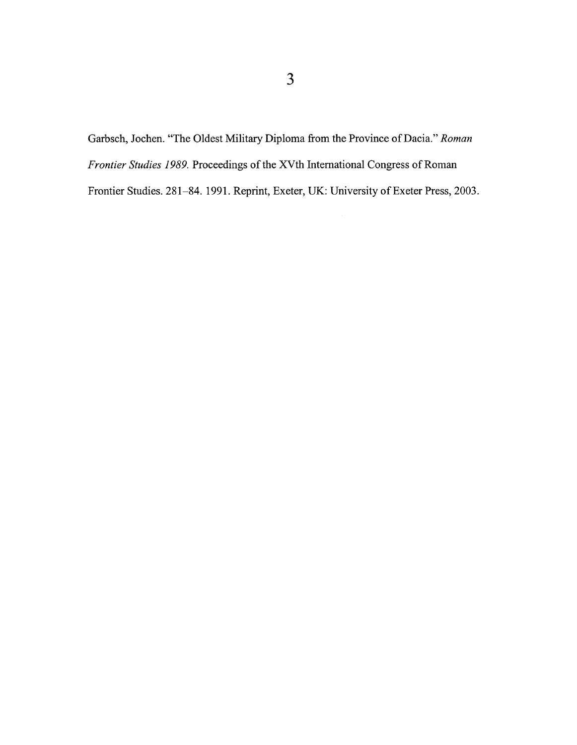Garbsch, Jochen. "The Oldest Military Diploma from the Province of Dacia." *Roman Frontier Studies 1989.* Proceedings of the XVth International Congress of Roman Frontier Studies. 281-84. 1991. Reprint, Exeter, UK: University of Exeter Press, 2003.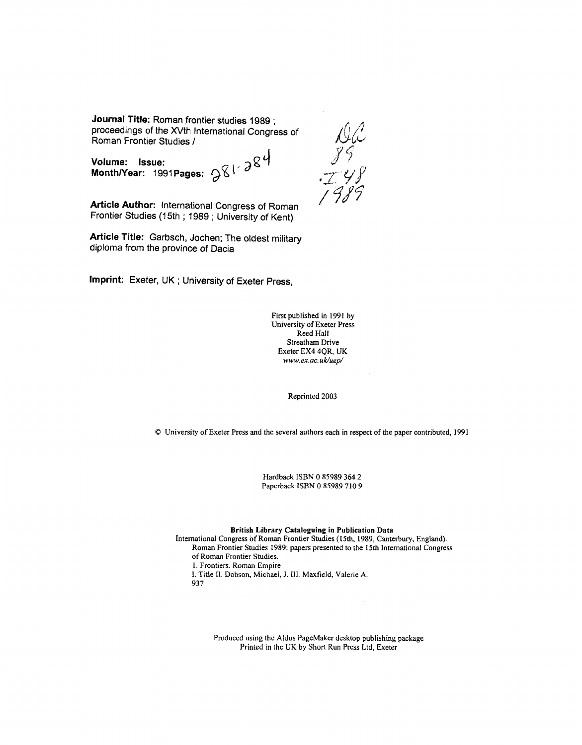**Journal Title:** Roman frontier studies 1989 ; proceedings of the XVth lnternational Congress of Roman Frontier Studies I

 $\gamma$ <sub>O</sub>  $\gamma$ <sub>2</sub>g<sup>4</sup>  $\gamma$ <sup>9</sup><sup>9</sup> **Month/Year: 1991 Pages:**  $981^{\circ}$ **<sup>38</sup><br>Month/Year: 1991 Pages:**  $981^{\circ}$ **<sup>38</sup>** 

**Article Author:** International Congress of Roman Frontier Studies (15th; 1989; University of Kent)

**Article Title:** Garbsch, Jochen; The oldest military diploma from the province of Dacia

**Imprint:** Exeter, UK ; University of Exeter Press,

First published in 1991 by University of Exeter Press Reed Hall Streatham Drive Exeter EX4 4QR, UK *www.ex.ac. uk/uep/* 

Reprinted 2003

0 University of Exeter Press and the several authors each in respect of the paper contributed, 1991

Hardback ISBN 0 85989 364 2 Paperback ISBN 0 85989 710 9

British Library Cataloguing in Publication Data

International Congress of Roman Frontier Studies (15th, 1989, Canterbury, England). Roman Frontier Studies 1989: papers presented to the 15th International Congress of Roman Frontier Studies. 1. Frontiers. Roman Empire I. Title 11. Dobson, Michael, J. 111. Maxficld, Valerie **A.**  93 7

> Produced using the AIdus PageMaker desktop publishing package Printed in the UK by Short Run Press Ltd, Exeter

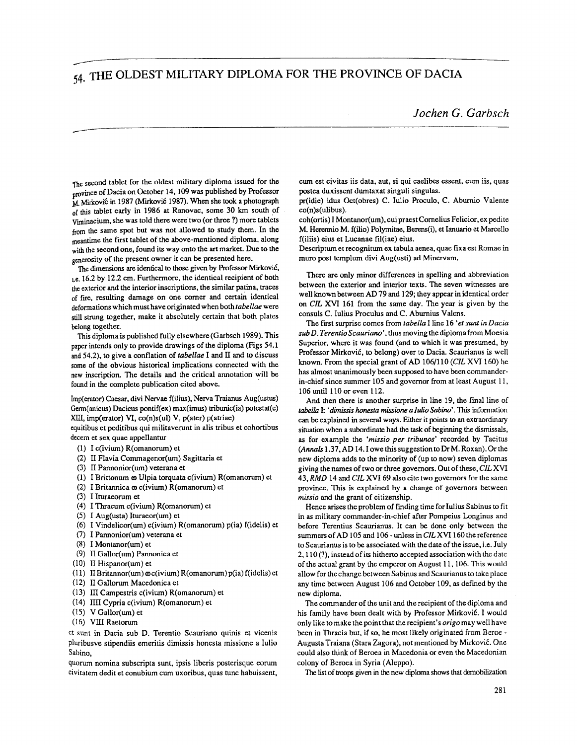## ---- <sub>54.</sub> THE OLDEST MILITARY DIPLOMA FOR THE PROVINCE OF DACIA

The second tablet for the oldest military diploma issued for the province of Dacia on October 14, 109 was published by Professor M. Mirković in 1987 (Mirković 1987). When she took a photograph of this tablet early in 1986 at Ranovac, some 30 km south of Vminacium, she was told there were two (or three ?) more tablets from the same spot but was not allowed to study them. In the meantime the first tablet of the above-mentioned diploma, along with the second one, found its way onto the art market. Due to the generosity of the present owner it can be presented here.

The dimensions are identical to those given by Professor Mirković, **1.e.** 16.2 by 12.2 cm. Furthermore, the identical recipient of both he exterior and the interior inscriptions, the similar patina, traces of fire, resulting damage on one corner and certain identical deformations which must have originated when both *tabellae* were still strung together, make it absolutely certain that both plates belong together.

This diplomais published fully elsewhere (Garbsch 1989). This paper intends only to provide drawings of the diploma (Figs 54.1 and 54.2), to give a conflation of *tabellae* I and II and to discuss some of the obvious historical implications connected with the new inscription. The details and the critical annotation will be found in the complete publication cited above.

Imp(erator) Caesar, divi Nervae f(ilius), Nerva Traianus Aug(ustus) Germ(anicus) Dacicus pontif(ex) max(imus) tribunic(ia) potestat(e) XIII, imp(erator) VI, co(n)s(ul) V, p(ater) p(atriae)

equitibus et peditibus qui militaverunt in alis tribus et cohortibus decem et sex quae appellantur

- $(1)$  I  $c$ (ivium) R(omanorum) et
- **(2)** II Flavia Commagenor(um) Sagittaria et
- (3) 11 Pannonior(um) veterana et
- (1) I Brittonum **co** Ulpia torquata c(ivium) R(omanorum) et
- (2) I Britannica **a,** ~(ivium) R(omanorum) et
- (3) I Ituraeomm et
- $(4)$  I Thracum  $c(ivium)$  R(omanorum) et
- (5) I Aug(usta) Ituraeor(um) et
- (6) I Vindelicor(um)  $c(ivium)$  R(omanorum)  $p(ia)$  f(idelis) et
- (7) I Pannonior(um) veterana et
- (8) I Montanor(um) et
- (9) I1 Gallor(um) Pannonica et
- (10) I1 Hispanor(um) et
- (11) II Britannor(um)  $\omega$ c(ivium) R(omanorum) p(ia) f(idelis) et
- (12) II Gallorum Macedonica et
- (13) III Campestris c(ivium) R(omanorum) et
- (14) IIII Cypria c(ivium) R(omanorum) et
- (15) V Gallor(um) et
- (16) VIII Raetorum

et sunt in Dacia sub D. Terentio Scauriano quinis et vicenis pluribusve stipendiis emeritis dimissis honesta missione a Iulio Sabino.

quorum nomina subscripta sunt, ipsis liberis posterisque eorurn civitatem dedit et conubium cum uxoribus, quas tunc habuissent, cum est civitas iis data, aut, si **qui** caelibes essent, **clun** iis, quas postea duxissent dumtaxat singuli singulas.

pr(idie) idus Oct(obres) C. Iulio Roculo. C. Aburnio Valente co(n)s(ulibus).

coh(ortis) I Montanor(um), cuipraest Cornelius Felicior, expedite M. Herennio M. f(ilio) Polymitae, Berens(i), et Ianuario et Marcello f(i1iis) eius et Lucanae fil(iae) eius.

Descriptum et recognitum ex tabula aenea, quae fixa est Romae in muro post templum divi Aug(usti) ad Minervam.

There are only minor differences in spelling and abbreviation between the exterior and interior texts. The seven witnesses are well known between AD 79 and 129; they appear in identical order on CIL XVI 161 from the same day. The year is given by the consuls C. Iulius Proculus and C. Aburnius Valens.

The first surprise comes from *tabella* I line 16 *'et sunf in Dacia sub D. TerentioScauriano'.* thus moving the diplomafromMoesia Superior, where it was found (and to which it was presumed, by Professor Mirković, to belong) over to Dacia. Scaurianus is well known. From the special grant of AD 106/110 (CIL XVI 160) he has almost unanimously been supposed to have been commanderin-chief since summer 105 and governor from at least August 11, 106 until 1 10 or even 1 12.

And then there is another surprise in line 19, the final line of *tabella I: 'dimissis honesta missione a <i>Iulio Sabino'*. This information can be explained in several ways. Either it points to an extraordinary situation when a subordinate had the **task** of beginning the dismissals, as for example the *'missio per tribunes'* recorded by Tacitus **(Annals** 1.37. AD 14. I owe this suggestion to **Dr** M. Roxan). Or the new diploma adds to the minority of (up to now) seven diplomas giving the names of two or three governors. Out of these, CIL **XVI**  43, RMD 14 and CIL XVI 69 also cite two governors for the same province. This is explained by a change of governors between *missio* and the grant of citizenship.

Hence arises the problem of finding time for Iulius Sabinus to fit in as military commander-in-chief after Pompeius Longinus and before Terentius Scaurianus. It can be done only between the summers of AD 105 and 106 - unless in CIL XVI 160 the reference to Scaurianus is to be associated with the date of the issue, i.e. July 2.110 (?), insteadof its hitherto accepted association with the date of the actual grant by the emperor on August 11, 106. This would allow for thechange between Sabinus and Scaurianus to take place any time between August 106 and October 109, as defined by the new diploma.

The commander of the unit and the recipient of the diploma and his family have been dealt with by Professor Mirković. I would only like to make the point that the recipient's *origo* may well have been in Thracia but. if so. he most likely originated from Beroe - Augusta Traiana (Stara Zagora), not mentioned by Mirković. One could also think of Beroea in Macedonia or even the Macedonian colony of Beroea in Syria (Aleppo).

The list of troops given in the new diploma shows that demobilization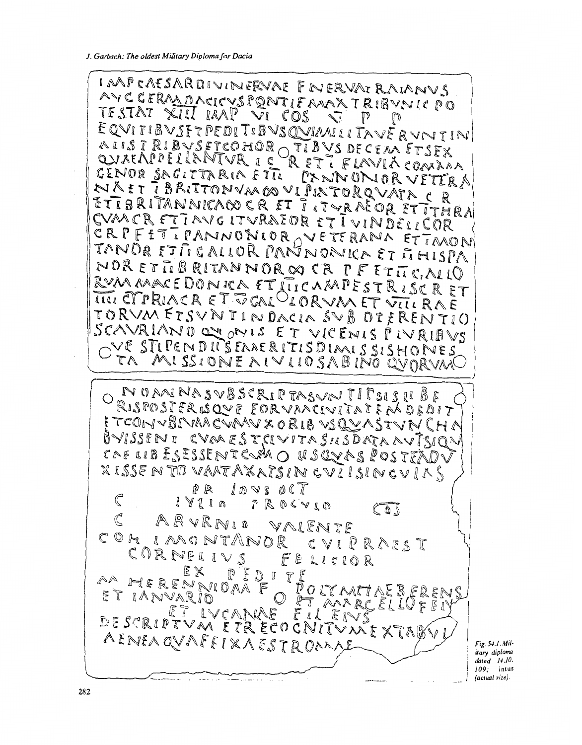IAAPCAESARDIVINERVAE ENERVATRAIANVS AVECERMONCLEVER THERWICANINUS TESTAT XIII IAAP VI COS  $\sum_{i=1}^{\infty}$  $\mathbb{P}$ D EQVITIBVSETPEDITIBVSQVIMILITAVERVNTIN AIISTRIBYSETCOHOR TIBYS DECEM ETSEX<br>QVAEAPPELLANTVR ICRETTELAVIACOMAMA GENOR SAGITTARIA ETTI PANNONIOR VETERA NAET IBRITTONVMØDVLPIATORQVATA CR ETIBRITANNICACO CRET TITURAEORETITHRA CVMCR FTTAVG ITVRAIDR ETT VINDELICOR CRPFETIPANNONIOR OVETERANA ETIMONI TANDR ETTICALLOR PANNONICA ET THISPA NORETTIBRITANNORES CR PFETTICALLO RVMMACEDONICA ET LIICAMPESTRISCRET IIII CTPRIACR ET VERLOIORVMET VIIL RAE TORVMETSVNIINDACIA SVB DIFRENTIO SCAVRIANO OU ONIS ET VICENIS PIVRIBUS OVE STIPENDITS EAAERITISDIAAIS SISHONES TA MISSIONE AIVIIOSABINO QVORVM NUMINASVBSCRIPTASVAITITSISII BE ETCONVBIVAACVAAVXORIBVSQVASTVNCHA BVISSENI CVARESTCIVITASILSDATAAVISION CAF LIB ESESSENT CUMO USQUAS POSTEAD XISSENTO VAATAXATSIN CVIISINGVIAS PR LOVS OCT  $\mathbb{C}$ I YII O PROCVIO  $C_0$ ABVRNIO VALENTE  $\mathcal{C}$ COM IMONTANOR CVIPRAEST CORNELIVS FELICIOR EX PEDITE AA HERENNIOAA F POLYMIAEBERENS ET IANVARIO  $\circledcirc$ ET AARGELIOPEI DESCRIPTVM ETRECOCNITYMEXTABV AENEAQVAFFIXAESTROMAL

Fig. 54.1. */Military diploma dated* 14.10. *109;* **inlus**  *(actual size).*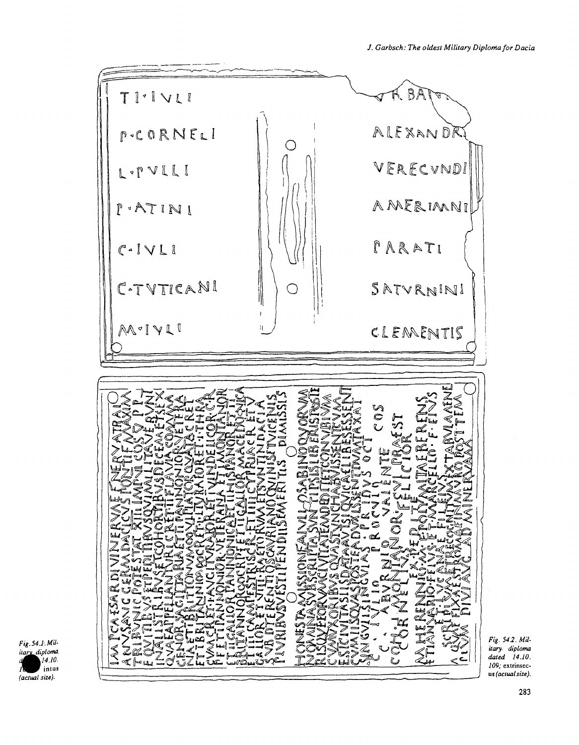R BÀ TI·IVLI ALEXANDR PCORNELI  $\left(\begin{array}{c}\right)$ VERECVNDI L-PVLLI AMERIMNI  $P$  + ATINI  $I A R A T I$  $C - IV L$ C-TVTICANI SATVRNINI C MOIVLI CLEMENTIS S<br>C  $\mathcal{R}$ 

*Fig. 542. Mil***itary** *diploma dated 14.10. 109;* **extrinsec**us *(actualsize).*